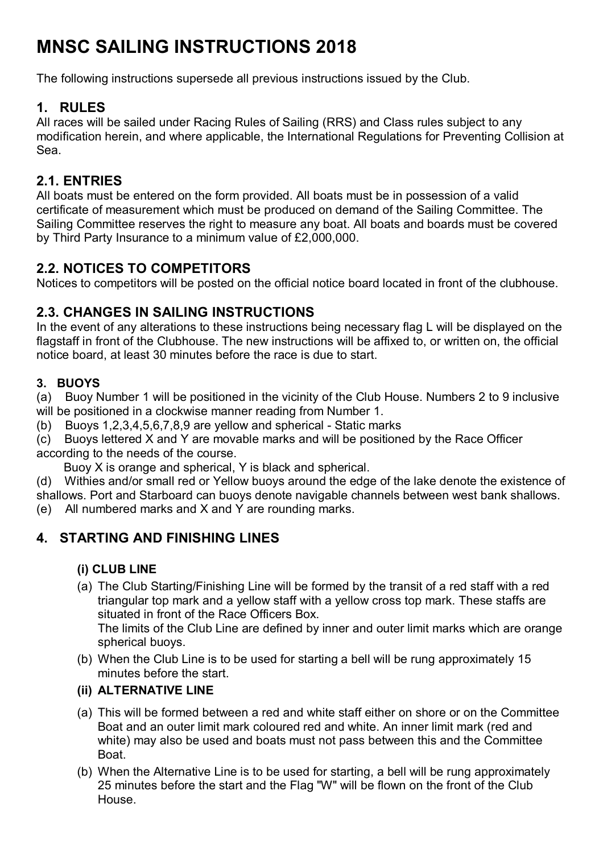# **MNSC SAILING INSTRUCTIONS 2018**

The following instructions supersede all previous instructions issued by the Club.

# **1. RULES**

All races will be sailed under Racing Rules of Sailing (RRS) and Class rules subject to any modification herein, and where applicable, the International Regulations for Preventing Collision at Sea.

## **2.1. ENTRIES**

All boats must be entered on the form provided. All boats must be in possession of a valid certificate of measurement which must be produced on demand of the Sailing Committee. The Sailing Committee reserves the right to measure any boat. All boats and boards must be covered by Third Party Insurance to a minimum value of £2,000,000.

#### **2.2. NOTICES TO COMPETITORS**

Notices to competitors will be posted on the official notice board located in front of the clubhouse.

# **2.3. CHANGES IN SAILING INSTRUCTIONS**

In the event of any alterations to these instructions being necessary flag L will be displayed on the flagstaff in front of the Clubhouse. The new instructions will be affixed to, or written on, the official notice board, at least 30 minutes before the race is due to start.

## **3. BUOYS**

(a) Buoy Number 1 will be positioned in the vicinity of the Club House. Numbers 2 to 9 inclusive will be positioned in a clockwise manner reading from Number 1.

(b) Buoys 1,2,3,4,5,6,7,8,9 are yellow and spherical - Static marks

(c) Buoys lettered X and Y are movable marks and will be positioned by the Race Officer according to the needs of the course.

Buoy X is orange and spherical, Y is black and spherical.

(d) Withies and/or small red or Yellow buoys around the edge of the lake denote the existence of shallows. Port and Starboard can buoys denote navigable channels between west bank shallows.

(e) All numbered marks and X and Y are rounding marks.

# **4. STARTING AND FINISHING LINES**

#### **(i) CLUB LINE**

(a) The Club Starting/Finishing Line will be formed by the transit of a red staff with a red triangular top mark and a yellow staff with a yellow cross top mark. These staffs are situated in front of the Race Officers Box.

The limits of the Club Line are defined by inner and outer limit marks which are orange spherical buoys.

(b) When the Club Line is to be used for starting a bell will be rung approximately 15 minutes before the start.

#### **(ii) ALTERNATIVE LINE**

- (a) This will be formed between a red and white staff either on shore or on the Committee Boat and an outer limit mark coloured red and white. An inner limit mark (red and white) may also be used and boats must not pass between this and the Committee **Boat**
- (b) When the Alternative Line is to be used for starting, a bell will be rung approximately 25 minutes before the start and the Flag "W" will be flown on the front of the Club House.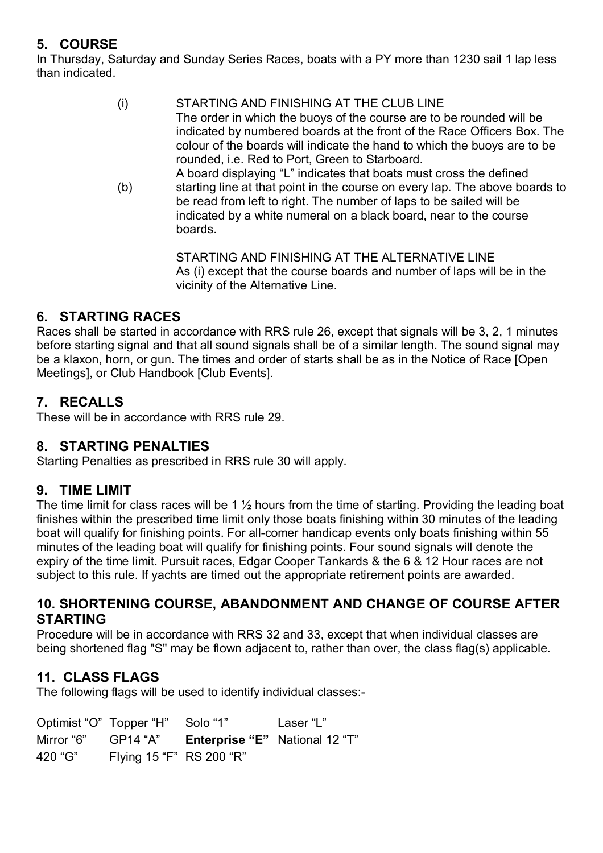# **5. COURSE**

In Thursday, Saturday and Sunday Series Races, boats with a PY more than 1230 sail 1 lap less than indicated.

| (i) | STARTING AND FINISHING AT THE CLUB LINE<br>The order in which the buoys of the course are to be rounded will be<br>indicated by numbered boards at the front of the Race Officers Box. The<br>colour of the boards will indicate the hand to which the buoys are to be<br>rounded, i.e. Red to Port, Green to Starboard. |
|-----|--------------------------------------------------------------------------------------------------------------------------------------------------------------------------------------------------------------------------------------------------------------------------------------------------------------------------|
| (b) | A board displaying "L" indicates that boats must cross the defined<br>starting line at that point in the course on every lap. The above boards to<br>be read from left to right. The number of laps to be sailed will be<br>indicated by a white numeral on a black board, near to the course<br>boards.                 |

STARTING AND FINISHING AT THE ALTERNATIVE LINE As (i) except that the course boards and number of laps will be in the vicinity of the Alternative Line.

#### **6. STARTING RACES**

Races shall be started in accordance with RRS rule 26, except that signals will be 3, 2, 1 minutes before starting signal and that all sound signals shall be of a similar length. The sound signal may be a klaxon, horn, or gun. The times and order of starts shall be as in the Notice of Race [Open Meetings], or Club Handbook [Club Events].

## **7. RECALLS**

These will be in accordance with RRS rule 29.

#### **8. STARTING PENALTIES**

Starting Penalties as prescribed in RRS rule 30 will apply.

#### **9. TIME LIMIT**

The time limit for class races will be 1  $\frac{1}{2}$  hours from the time of starting. Providing the leading boat finishes within the prescribed time limit only those boats finishing within 30 minutes of the leading boat will qualify for finishing points. For all-comer handicap events only boats finishing within 55 minutes of the leading boat will qualify for finishing points. Four sound signals will denote the expiry of the time limit. Pursuit races, Edgar Cooper Tankards & the 6 & 12 Hour races are not subject to this rule. If yachts are timed out the appropriate retirement points are awarded.

#### **10. SHORTENING COURSE, ABANDONMENT AND CHANGE OF COURSE AFTER STARTING**

Procedure will be in accordance with RRS 32 and 33, except that when individual classes are being shortened flag "S" may be flown adjacent to, rather than over, the class flag(s) applicable.

#### **11. CLASS FLAGS**

The following flags will be used to identify individual classes:-

|                     | Optimist "O" Topper "H" Solo "1" |                                       | Laser "L" |
|---------------------|----------------------------------|---------------------------------------|-----------|
| Mirror "6" GP14 "A" |                                  | <b>Enterprise "E"</b> National 12 "T" |           |
| 420 "G"             | Flying 15 "F" RS 200 "R"         |                                       |           |